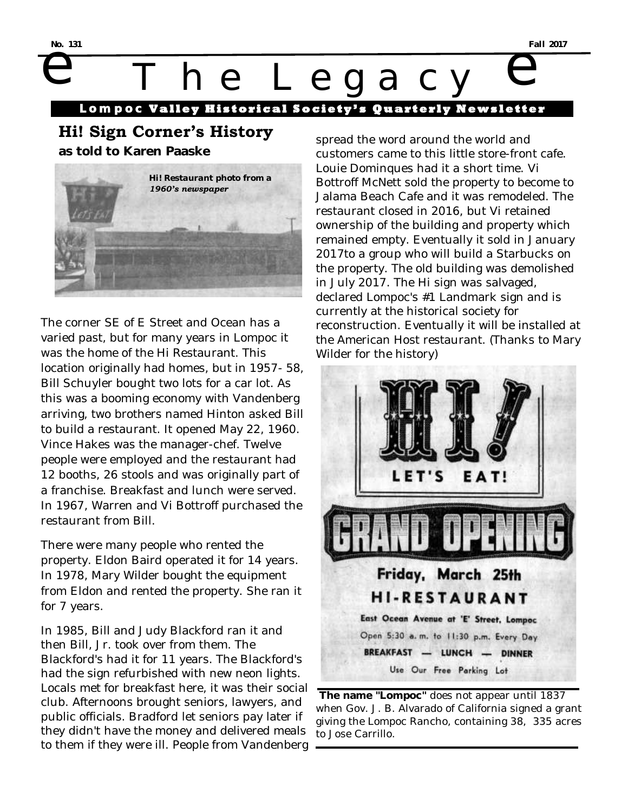No. 131 he Legacy

**Lompoc Valley Historical Society** 

# **Hi! Sign Corner's History**

**as told to Karen Paaske**



The corner SE of E Street and Ocean has a varied past, but for many years in Lompoc it was the home of the Hi Restaurant. This location originally had homes, but in 1957- 58, Bill Schuyler bought two lots for a car lot. As this was a booming economy with Vandenberg arriving, two brothers named Hinton asked Bill to build a restaurant. It opened May 22, 1960. Vince Hakes was the manager-chef. Twelve people were employed and the restaurant had 12 booths, 26 stools and was originally part of a franchise. Breakfast and lunch were served. In 1967, Warren and Vi Bottroff purchased the restaurant from Bill.

There were many people who rented the property. Eldon Baird operated it for 14 years. In 1978, Mary Wilder bought the equipment from Eldon and rented the property. She ran it for 7 years.

In 1985, Bill and Judy Blackford ran it and then Bill, Jr. took over from them. The Blackford's had it for 11 years. The Blackford's had the sign refurbished with new neon lights. Locals met for breakfast here, it was their social club. Afternoons brought seniors, lawyers, and public officials. Bradford let seniors pay later if they didn't have the money and delivered meals to them if they were ill. People from Vandenberg

spread the word around the world and customers came to this little store-front cafe. Louie Dominques had it a short time. Vi Bottroff McNett sold the property to become to Jalama Beach Cafe and it was remodeled. The restaurant closed in 2016, but Vi retained ownership of the building and property which remained empty. Eventually it sold in January 2017to a group who will build a Starbucks on the property. The old building was demolished in July 2017. The Hi sign was salvaged, declared Lompoc's #1 Landmark sign and is currently at the historical society for reconstruction. Eventually it will be installed at the American Host restaurant. (Thanks to Mary Wilder for the history)



**The name "Lompoc"** does not appear until 1837 when Gov. J. B. Alvarado of California signed a grant giving the Lompoc Rancho, containing 38, 335 acres to Jose Carrillo.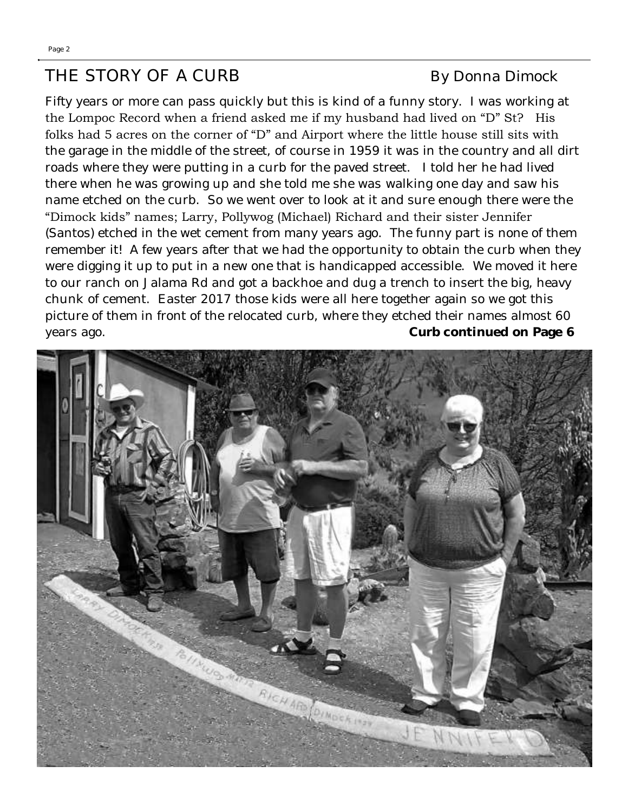# THE STORY OF A CURB By Donna Dimock

Fifty years or more can pass quickly but this is kind of a funny story. I was working at the Lompoc Record when a friend asked me if my husband had lived on "D" St? His folks had 5 acres on the corner of "D" and Airport where the little house still sits with the garage in the middle of the street, of course in 1959 it was in the country and all dirt roads where they were putting in a curb for the paved street. I told her he had lived there when he was growing up and she told me she was walking one day and saw his name etched on the curb. So we went over to look at it and sure enough there were the "Dimock kids" names; Larry, Pollywog (Michael) Richard and their sister Jennifer (Santos) etched in the wet cement from many years ago. The funny part is none of them remember it! A few years after that we had the opportunity to obtain the curb when they were digging it up to put in a new one that is handicapped accessible. We moved it here to our ranch on Jalama Rd and got a backhoe and dug a trench to insert the big, heavy chunk of cement. Easter 2017 those kids were all here together again so we got this picture of them in front of the relocated curb, where they etched their names almost 60 years ago. **Curb continued on Page 6**

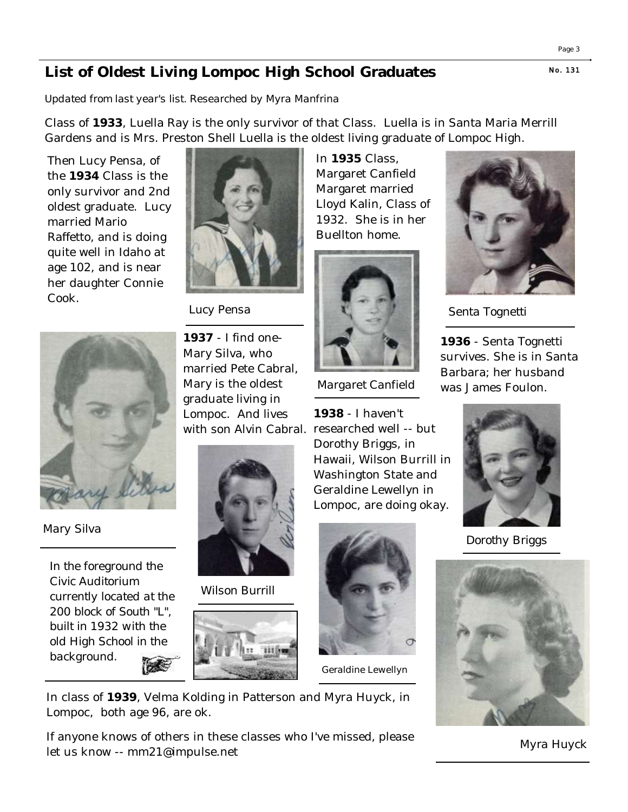## **N o. 131 List of Oldest Living Lompoc High School Graduates**

*Updated from last year's list. Researched by Myra Manfrina*

Class of **1933**, Luella Ray is the only survivor of that Class. Luella is in Santa Maria Merrill Gardens and is Mrs. Preston Shell Luella is the oldest living graduate of Lompoc High.

Then Lucy Pensa, of the **1934** Class is the only survivor and 2nd oldest graduate. Lucy married Mario Raffetto, and is doing quite well in Idaho at age 102, and is near her daughter Connie Cook.



*Lucy Pensa*



*Mary Silva*

*In the foreground the Civic Auditorium currently located at the 200 block of South "L", built in 1932 with the old High School in the background.* **BAS** 

**1937** - I find one-Mary Silva, who married Pete Cabral, Mary is the oldest graduate living in Lompoc. And lives



*Wilson Burrill* 



Margaret Canfield Margaret married Lloyd Kalin, Class of 1932. She is in her Buellton home.

In **1935** Class,



*Margaret Canfield* 

with son Alvin Cabral. researched well -- but **1938** - I haven't Dorothy Briggs, in Hawaii, Wilson Burrill in Washington State and Geraldine Lewellyn in Lompoc, are doing okay.



*Geraldine Lewellyn* 

In class of **1939**, Velma Kolding in Patterson and Myra Huyck, in Lompoc, both age 96, are ok.

If anyone knows of others in these classes who I've missed, please let us know -- mm21@impulse.net



*Senta Tognetti* 

**1936** - Senta Tognetti survives. She is in Santa Barbara; her husband was James Foulon.



*Dorothy Briggs*



*Myra Huyck*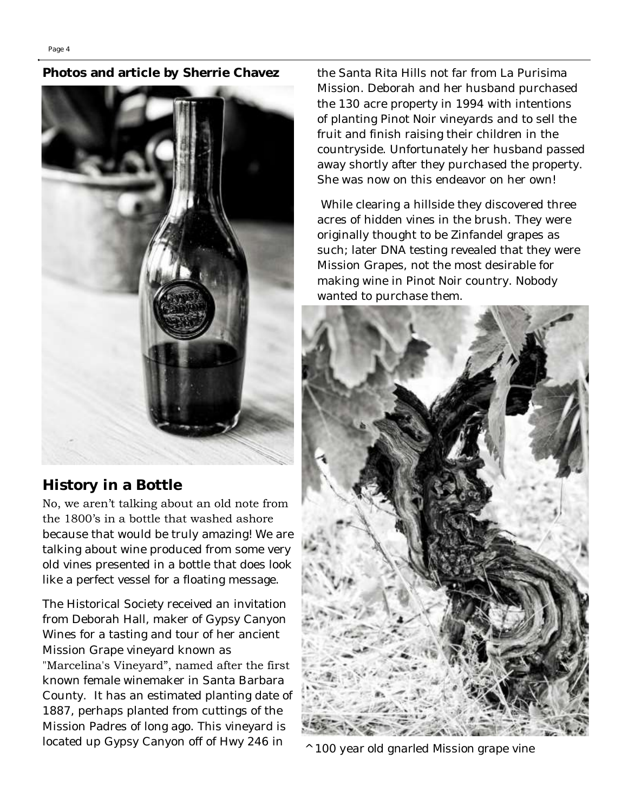#### **Photos and article by Sherrie Chavez**



### **History in a Bottle**

No, we aren't talking about an old note from the 1800's in a bottle that washed ashore because that would be truly amazing! We are

talking about wine produced from some very old vines presented in a bottle that does look like a perfect vessel for a floating message.

The Historical Society received an invitation from Deborah Hall, maker of Gypsy Canyon Wines for a tasting and tour of her ancient Mission Grape vineyard known as

"Marcelina's Vineyard", named after the first known female winemaker in Santa Barbara County. It has an estimated planting date of 1887, perhaps planted from cuttings of the Mission Padres of long ago. This vineyard is located up Gypsy Canyon off of Hwy 246 in

the Santa Rita Hills not far from La Purisima Mission. Deborah and her husband purchased the 130 acre property in 1994 with intentions of planting Pinot Noir vineyards and to sell the fruit and finish raising their children in the countryside. Unfortunately her husband passed away shortly after they purchased the property. She was now on this endeavor on her own!

While clearing a hillside they discovered three acres of hidden vines in the brush. They were originally thought to be Zinfandel grapes as such; later DNA testing revealed that they were Mission Grapes, not the most desirable for making wine in Pinot Noir country. Nobody wanted to purchase them.



*^ 100 year old gnarled Mission grape vine*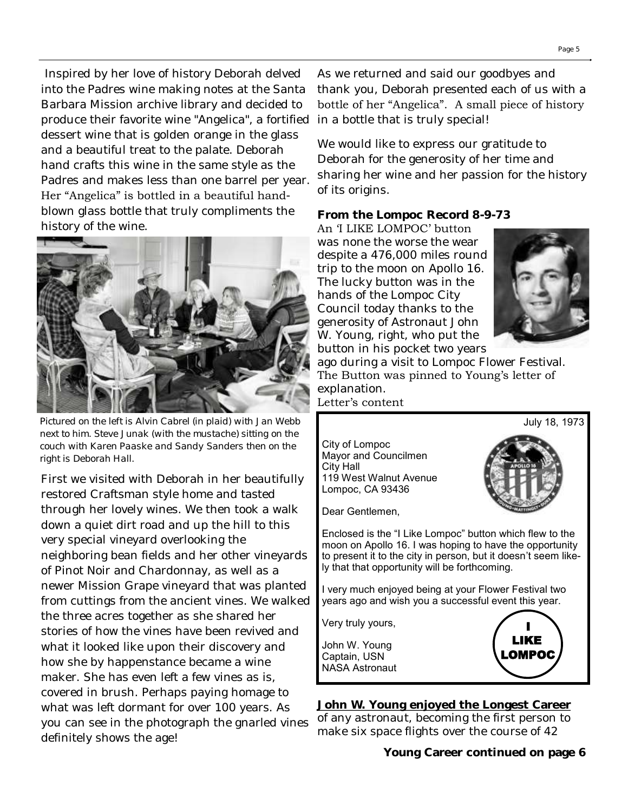Inspired by her love of history Deborah delved into the Padres wine making notes at the Santa Barbara Mission archive library and decided to produce their favorite wine "Angelica", a fortified dessert wine that is golden orange in the glass and a beautiful treat to the palate. Deborah hand crafts this wine in the same style as the Padres and makes less than one barrel per year. Her "Angelica" is bottled in a beautiful handblown glass bottle that truly compliments the history of the wine.



*Pictured on the left is Alvin Cabrel (in plaid) with Jan Webb next to him. Steve Junak (with the mustache) sitting on the couch with Karen Paaske and Sandy Sanders then on the right is Deborah Hall.*

First we visited with Deborah in her beautifully restored Craftsman style home and tasted through her lovely wines. We then took a walk down a quiet dirt road and up the hill to this very special vineyard overlooking the neighboring bean fields and her other vineyards of Pinot Noir and Chardonnay, as well as a newer Mission Grape vineyard that was planted from cuttings from the ancient vines. We walked the three acres together as she shared her stories of how the vines have been revived and what it looked like upon their discovery and how she by happenstance became a wine maker. She has even left a few vines as is, covered in brush. Perhaps paying homage to what was left dormant for over 100 years. As you can see in the photograph the gnarled vines definitely shows the age!

As we returned and said our goodbyes and thank you, Deborah presented each of us with a bottle of her "Angelica". A small piece of history in a bottle that is truly special!

We would like to express our gratitude to Deborah for the generosity of her time and sharing her wine and her passion for the history of its origins.

**From the Lompoc Record 8-9-73**

An 'I LIKE LOMPOC' button was none the worse the wear despite a 476,000 miles round trip to the moon on Apollo 16. The lucky button was in the hands of the Lompoc City Council today thanks to the generosity of Astronaut John W. Young, right, who put the button in his pocket two years



July 18, 1973

ago during a visit to Lompoc Flower Festival. The Button was pinned to Young's letter of explanation.

Letter's content

City of Lompoc Mayor and Councilmen City Hall 119 West Walnut Avenue Lompoc, CA 93436

Dear Gentlemen,

Enclosed is the "I Like Lompoc" button which flew to the moon on Apollo 16. I was hoping to have the opportunity to present it to the city in person, but it doesn't seem likely that that opportunity will be forthcoming.

I very much enjoyed being at your Flower Festival two years ago and wish you a successful event this year.

Very truly yours,

John W. Young Captain, USN NASA Astronaut



**John W. Young enjoyed the Longest Career**  of any astronaut, becoming the first person to make six space flights over the course of 42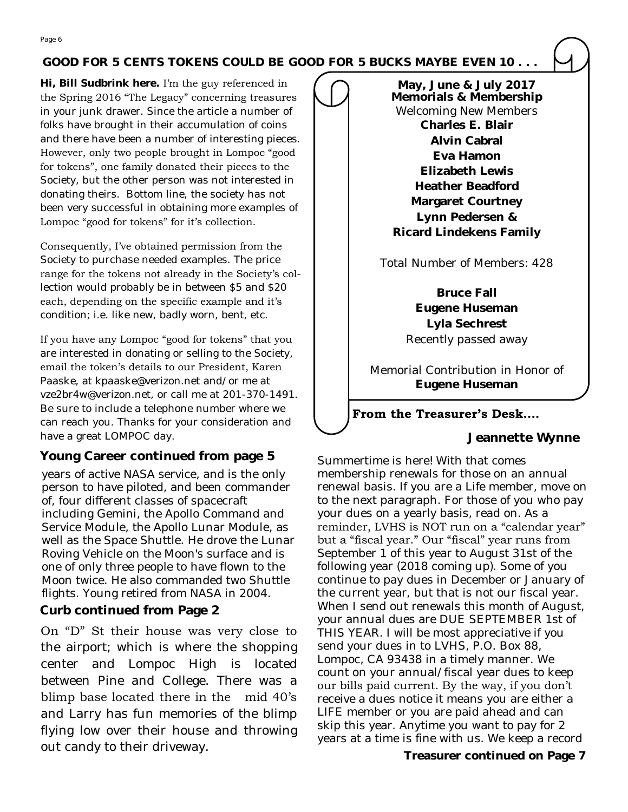#### **GOOD FOR 5 CENTS TOKENS COULD BE GOOD FOR 5 BUCKS MAYBE EVEN 10 . . .**

**Hi, Bill Sudbrink here.** I'm the guy referenced in the Spring 2016 "The Legacy" concerning treasures in your junk drawer. Since the article a number of folks have brought in their accumulation of coins and there have been a number of interesting pieces. However, only two people brought in Lompoc "good for tokens", one family donated their pieces to the Society, but the other person was not interested in donating theirs. Bottom line, the society has not been very successful in obtaining more examples of Lompoc "good for tokens" for it's collection.

Consequently, I've obtained permission from the Society to purchase needed examples. The price range for the tokens not already in the Society's collection would probably be in between \$5 and \$20 each, depending on the specific example and it's condition; i.e. like new, badly worn, bent, etc.

If you have any Lompoc "good for tokens" that you are interested in donating or selling to the Society, email the token's details to our President, Karen Paaske, at kpaaske@verizon.net and/or me at vze2br4w@verizon.net, or call me at 201-370-1491. Be sure to include a telephone number where we can reach you. Thanks for your consideration and have a great LOMPOC day.

#### **Young Career continued from page 5**

years of active [NASA](https://en.wikipedia.org/wiki/NASA) service, and is the only person to have piloted, and been commander of, four different classes of spacecraft including [Gemini,](https://en.wikipedia.org/wiki/Project_Gemini) the [Apollo Command and](https://en.wikipedia.org/wiki/Apollo_Command/Service_Module)  [Service Module,](https://en.wikipedia.org/wiki/Apollo_Command/Service_Module) the [Apollo Lunar Module,](https://en.wikipedia.org/wiki/Apollo_Lunar_Module) as well as the [Space Shuttle.](https://en.wikipedia.org/wiki/Space_Shuttle) He drove the [Lunar](https://en.wikipedia.org/wiki/Lunar_Roving_Vehicle)  [Roving Vehicle](https://en.wikipedia.org/wiki/Lunar_Roving_Vehicle) on the [Moon'](https://en.wikipedia.org/wiki/Moon)s surface and is one of only three people to have [flown to the](https://en.wikipedia.org/wiki/List_of_Apollo_astronauts)  [Moon](https://en.wikipedia.org/wiki/List_of_Apollo_astronauts) twice. He also commanded two Shuttle flights. Young retired from NASA in 2004.

**Curb continued from Page 2** 

On "D" St their house was very close to the airport; which is where the shopping center and Lompoc High is located between Pine and College. There was a blimp base located there in the mid 40's and Larry has fun memories of the blimp flying low over their house and throwing out candy to their driveway.

**May, June & July 2017 Memorials & Membership** Welcoming New Members **Charles E. Blair Alvin Cabral Eva Hamon Elizabeth Lewis Heather Beadford Margaret Courtney Lynn Pedersen & Ricard Lindekens Family**

Total Number of Members: 428

**Bruce Fall Eugene Huseman Lyla Sechrest** Recently passed away

Memorial Contribution in Honor of **Eugene Huseman**

#### **From the Treasurer's Desk….**

 **Jeannette Wynne**

Summertime is here! With that comes membership renewals for those on an annual renewal basis. If you are a Life member, move on to the next paragraph. For those of you who pay your dues on a yearly basis, read on. As a reminder, LVHS is NOT run on a "calendar year" but a "fiscal year." Our "fiscal" year runs from September 1 of this year to August 31st of the following year (2018 coming up). Some of you continue to pay dues in December or January of the current year, but that is not our fiscal year. When I send out renewals this month of August, your annual dues are DUE SEPTEMBER 1st of THIS YEAR. I will be most appreciative if you send your dues in to LVHS, P.O. Box 88, Lompoc, CA 93438 in a timely manner. We count on your annual/fiscal year dues to keep our bills paid current. By the way, if you don't receive a dues notice it means you are either a LIFE member or you are paid ahead and can skip this year. Anytime you want to pay for 2 years at a time is fine with us. We keep a record

**Treasurer continued on Page 7**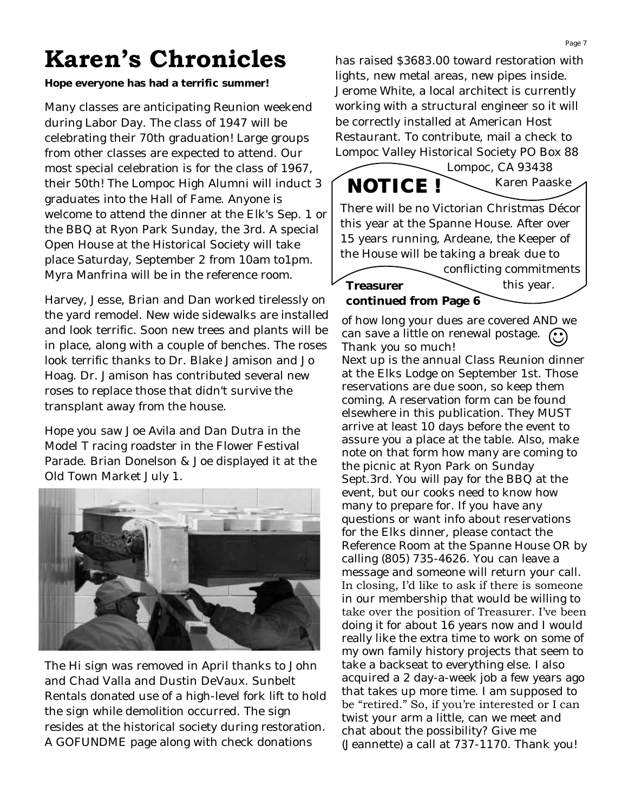# **Karen's Chronicles**

**Hope everyone has had a terrific summer!**

Many classes are anticipating Reunion weekend during Labor Day. The class of 1947 will be celebrating their 70th graduation! Large groups from other classes are expected to attend. Our most special celebration is for the class of 1967, their 50th! The Lompoc High Alumni will induct 3 graduates into the Hall of Fame. Anyone is welcome to attend the dinner at the Elk's Sep. 1 or the BBQ at Ryon Park Sunday, the 3rd. A special Open House at the Historical Society will take place Saturday, September 2 from 10am to1pm. Myra Manfrina will be in the reference room.

Harvey, Jesse, Brian and Dan worked tirelessly on the yard remodel. New wide sidewalks are installed and look terrific. Soon new trees and plants will be in place, along with a couple of benches. The roses look terrific thanks to Dr. Blake Jamison and Jo Hoag. Dr. Jamison has contributed several new roses to replace those that didn't survive the transplant away from the house.

Hope you saw Joe Avila and Dan Dutra in the Model T racing roadster in the Flower Festival Parade. Brian Donelson & Joe displayed it at the Old Town Market July 1.



The Hi sign was removed in April thanks to John and Chad Valla and Dustin DeVaux. Sunbelt Rentals donated use of a high-level fork lift to hold the sign while demolition occurred. The sign resides at the historical society during restoration. A GOFUNDME page along with check donations

has raised \$3683.00 toward restoration with lights, new metal areas, new pipes inside. Jerome White, a local architect is currently working with a structural engineer so it will be correctly installed at American Host Restaurant. To contribute, mail a check to Lompoc Valley Historical Society PO Box 88



**Treasurer continued from Page 6**

of how long your dues are covered AND we can save a little on renewal postage.  $\bigodot$ Thank you so much!

this year.

Next up is the annual Class Reunion dinner at the Elks Lodge on September 1st. Those reservations are due soon, so keep them coming. A reservation form can be found elsewhere in this publication. They MUST arrive at least 10 days before the event to assure you a place at the table. Also, make note on that form how many are coming to the picnic at Ryon Park on Sunday Sept.3rd. You will pay for the BBQ at the event, but our cooks need to know how many to prepare for. If you have any questions or want info about reservations for the Elks dinner, please contact the Reference Room at the Spanne House OR by calling (805) 735-4626. You can leave a message and someone will return your call. In closing, I'd like to ask if there is someone in our membership that would be willing to take over the position of Treasurer. I've been doing it for about 16 years now and I would really like the extra time to work on some of my own family history projects that seem to take a backseat to everything else. I also acquired a 2 day-a-week job a few years ago that takes up more time. I am supposed to be "retired." So, if you're interested or I can twist your arm a little, can we meet and chat about the possibility? Give me (Jeannette) a call at 737-1170. Thank you!